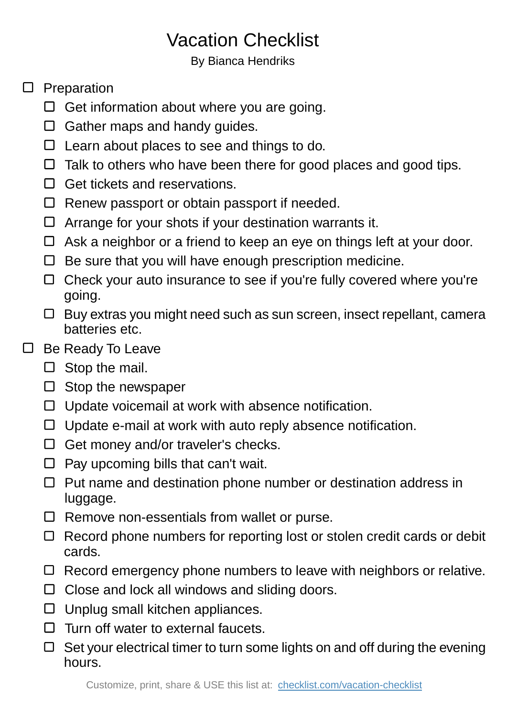## Vacation Checklist

By Bianca Hendriks

## $\square$  Preparation

- $\Box$  Get information about where you are going.
- $\Box$  Gather maps and handy guides.
- $\Box$  Learn about places to see and things to do.
- $\Box$  Talk to others who have been there for good places and good tips.
- $\Box$  Get tickets and reservations.
- $\Box$  Renew passport or obtain passport if needed.
- $\Box$  Arrange for your shots if your destination warrants it.
- $\Box$  Ask a neighbor or a friend to keep an eye on things left at your door.
- $\Box$  Be sure that you will have enough prescription medicine.
- Check your auto insurance to see if you're fully covered where you're going.
- $\Box$  Buy extras you might need such as sun screen, insect repellant, camera batteries etc.
- $\Box$  Be Ready To Leave
	- $\square$  Stop the mail.
	- $\square$  Stop the newspaper
	- $\Box$  Update voicemail at work with absence notification.
	- $\Box$  Update e-mail at work with auto reply absence notification.
	- $\Box$  Get money and/or traveler's checks.
	- $\Box$  Pay upcoming bills that can't wait.
	- $\Box$  Put name and destination phone number or destination address in luggage.
	- $\Box$  Remove non-essentials from wallet or purse.
	- $\Box$  Record phone numbers for reporting lost or stolen credit cards or debit cards.
	- $\Box$  Record emergency phone numbers to leave with neighbors or relative.
	- $\Box$  Close and lock all windows and sliding doors.
	- $\square$  Unplug small kitchen appliances.
	- $\Box$  Turn off water to external faucets.
	- $\Box$  Set your electrical timer to turn some lights on and off during the evening hours.